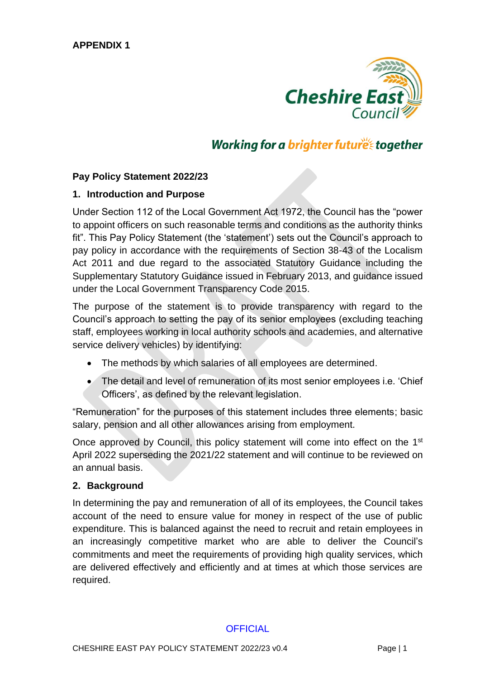

# Working for a brighter futures together

#### **Pay Policy Statement 2022/23**

#### **1. Introduction and Purpose**

Under Section 112 of the Local Government Act 1972, the Council has the "power to appoint officers on such reasonable terms and conditions as the authority thinks fit". This Pay Policy Statement (the 'statement') sets out the Council's approach to pay policy in accordance with the requirements of Section 38-43 of the Localism Act 2011 and due regard to the associated Statutory Guidance including the Supplementary Statutory Guidance issued in February 2013, and guidance issued under the Local Government Transparency Code 2015.

The purpose of the statement is to provide transparency with regard to the Council's approach to setting the pay of its senior employees (excluding teaching staff, employees working in local authority schools and academies, and alternative service delivery vehicles) by identifying:

- The methods by which salaries of all employees are determined.
- The detail and level of remuneration of its most senior employees i.e. 'Chief Officers', as defined by the relevant legislation.

"Remuneration" for the purposes of this statement includes three elements; basic salary, pension and all other allowances arising from employment.

Once approved by Council, this policy statement will come into effect on the 1<sup>st</sup> April 2022 superseding the 2021/22 statement and will continue to be reviewed on an annual basis.

#### **2. Background**

In determining the pay and remuneration of all of its employees, the Council takes account of the need to ensure value for money in respect of the use of public expenditure. This is balanced against the need to recruit and retain employees in an increasingly competitive market who are able to deliver the Council's commitments and meet the requirements of providing high quality services, which are delivered effectively and efficiently and at times at which those services are required.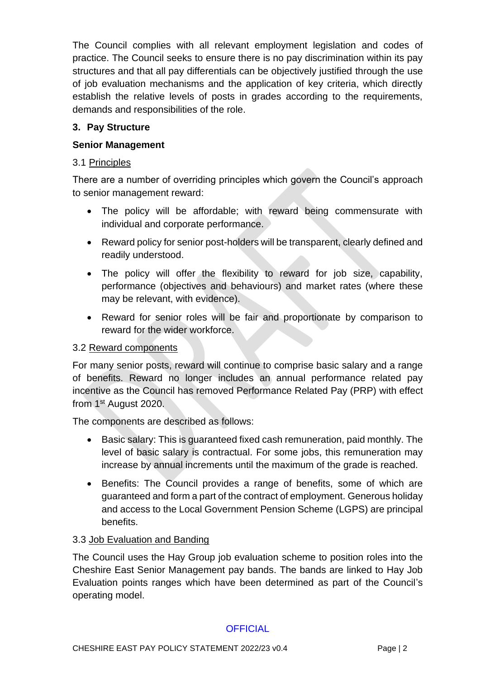The Council complies with all relevant employment legislation and codes of practice. The Council seeks to ensure there is no pay discrimination within its pay structures and that all pay differentials can be objectively justified through the use of job evaluation mechanisms and the application of key criteria, which directly establish the relative levels of posts in grades according to the requirements, demands and responsibilities of the role.

# **3. Pay Structure**

## **Senior Management**

## 3.1 Principles

There are a number of overriding principles which govern the Council's approach to senior management reward:

- The policy will be affordable; with reward being commensurate with individual and corporate performance.
- Reward policy for senior post-holders will be transparent, clearly defined and readily understood.
- The policy will offer the flexibility to reward for job size, capability, performance (objectives and behaviours) and market rates (where these may be relevant, with evidence).
- Reward for senior roles will be fair and proportionate by comparison to reward for the wider workforce.

## 3.2 Reward components

For many senior posts, reward will continue to comprise basic salary and a range of benefits. Reward no longer includes an annual performance related pay incentive as the Council has removed Performance Related Pay (PRP) with effect from 1<sup>st</sup> August 2020.

The components are described as follows:

- Basic salary: This is guaranteed fixed cash remuneration, paid monthly. The level of basic salary is contractual. For some jobs, this remuneration may increase by annual increments until the maximum of the grade is reached.
- Benefits: The Council provides a range of benefits, some of which are guaranteed and form a part of the contract of employment. Generous holiday and access to the Local Government Pension Scheme (LGPS) are principal benefits.

## 3.3 Job Evaluation and Banding

The Council uses the Hay Group job evaluation scheme to position roles into the Cheshire East Senior Management pay bands. The bands are linked to Hay Job Evaluation points ranges which have been determined as part of the Council's operating model.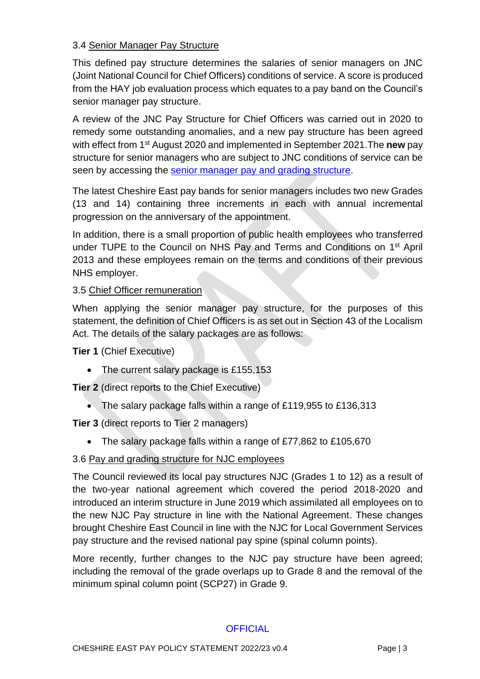# 3.4 Senior Manager Pay Structure

This defined pay structure determines the salaries of senior managers on JNC (Joint National Council for Chief Officers) conditions of service. A score is produced from the HAY job evaluation process which equates to a pay band on the Council's senior manager pay structure.

A review of the JNC Pay Structure for Chief Officers was carried out in 2020 to remedy some outstanding anomalies, and a new pay structure has been agreed with effect from 1st August 2020 and implemented in September 2021.The **new** pay structure for senior managers who are subject to JNC conditions of service can be seen by accessing the [senior manager pay and grading structure.](http://www.cheshireeast.gov.uk/pdf/Council/pay-grading-structure/Link-1-CEC-Pay-and-Grading-Structures-April-2020.pdf)

The latest Cheshire East pay bands for senior managers includes two new Grades (13 and 14) containing three increments in each with annual incremental progression on the anniversary of the appointment.

In addition, there is a small proportion of public health employees who transferred under TUPE to the Council on NHS Pay and Terms and Conditions on 1<sup>st</sup> April 2013 and these employees remain on the terms and conditions of their previous NHS employer.

## 3.5 Chief Officer remuneration

When applying the senior manager pay structure, for the purposes of this statement, the definition of Chief Officers is as set out in Section 43 of the Localism Act. The details of the salary packages are as follows:

**Tier 1** (Chief Executive)

• The current salary package is £155,153

**Tier 2** (direct reports to the Chief Executive)

• The salary package falls within a range of £119,955 to £136,313

**Tier 3** (direct reports to Tier 2 managers)

• The salary package falls within a range of £77,862 to £105,670

## 3.6 Pay and grading structure for NJC employees

The Council reviewed its local pay structures NJC (Grades 1 to 12) as a result of the two-year national agreement which covered the period 2018-2020 and introduced an interim structure in June 2019 which assimilated all employees on to the new NJC Pay structure in line with the National Agreement. These changes brought Cheshire East Council in line with the NJC for Local Government Services pay structure and the revised national pay spine (spinal column points).

More recently, further changes to the NJC pay structure have been agreed; including the removal of the grade overlaps up to Grade 8 and the removal of the minimum spinal column point (SCP27) in Grade 9.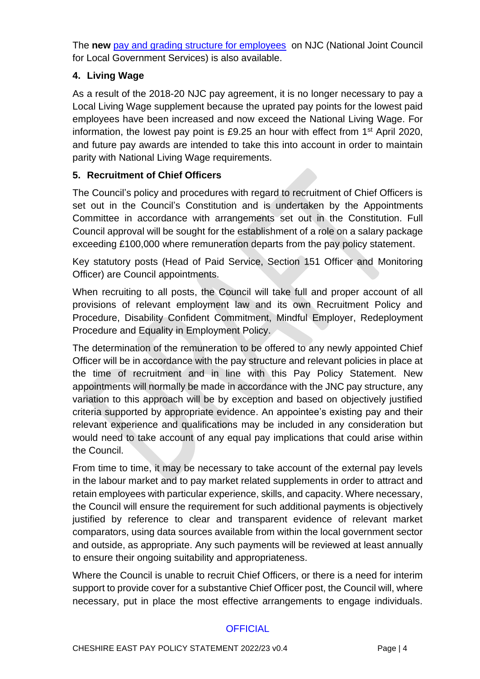The **new** [pay and grading structure for employees](http://www.cheshireeast.gov.uk/pdf/Council/pay-grading-structure/Link-1-CEC-Pay-and-Grading-Structures-April-2020.pdf) on NJC (National Joint Council for Local Government Services) is also available.

# **4. Living Wage**

As a result of the 2018-20 NJC pay agreement, it is no longer necessary to pay a Local Living Wage supplement because the uprated pay points for the lowest paid employees have been increased and now exceed the National Living Wage. For information, the lowest pay point is £9.25 an hour with effect from 1st April 2020, and future pay awards are intended to take this into account in order to maintain parity with National Living Wage requirements.

# **5. Recruitment of Chief Officers**

The Council's policy and procedures with regard to recruitment of Chief Officers is set out in the Council's Constitution and is undertaken by the Appointments Committee in accordance with arrangements set out in the Constitution. Full Council approval will be sought for the establishment of a role on a salary package exceeding £100,000 where remuneration departs from the pay policy statement.

Key statutory posts (Head of Paid Service, Section 151 Officer and Monitoring Officer) are Council appointments.

When recruiting to all posts, the Council will take full and proper account of all provisions of relevant employment law and its own Recruitment Policy and Procedure, Disability Confident Commitment, Mindful Employer, Redeployment Procedure and Equality in Employment Policy.

The determination of the remuneration to be offered to any newly appointed Chief Officer will be in accordance with the pay structure and relevant policies in place at the time of recruitment and in line with this Pay Policy Statement. New appointments will normally be made in accordance with the JNC pay structure, any variation to this approach will be by exception and based on objectively justified criteria supported by appropriate evidence. An appointee's existing pay and their relevant experience and qualifications may be included in any consideration but would need to take account of any equal pay implications that could arise within the Council.

From time to time, it may be necessary to take account of the external pay levels in the labour market and to pay market related supplements in order to attract and retain employees with particular experience, skills, and capacity. Where necessary, the Council will ensure the requirement for such additional payments is objectively justified by reference to clear and transparent evidence of relevant market comparators, using data sources available from within the local government sector and outside, as appropriate. Any such payments will be reviewed at least annually to ensure their ongoing suitability and appropriateness.

Where the Council is unable to recruit Chief Officers, or there is a need for interim support to provide cover for a substantive Chief Officer post, the Council will, where necessary, put in place the most effective arrangements to engage individuals.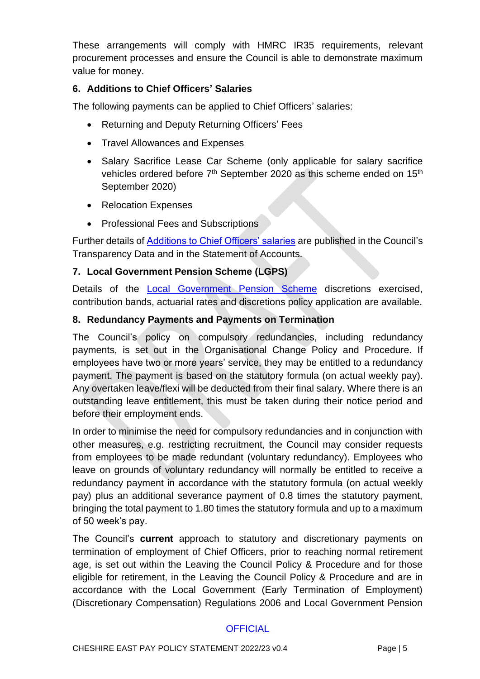These arrangements will comply with HMRC IR35 requirements, relevant procurement processes and ensure the Council is able to demonstrate maximum value for money.

#### **6. Additions to Chief Officers' Salaries**

The following payments can be applied to Chief Officers' salaries:

- Returning and Deputy Returning Officers' Fees
- Travel Allowances and Expenses
- Salary Sacrifice Lease Car Scheme (only applicable for salary sacrifice vehicles ordered before  $7<sup>th</sup>$  September 2020 as this scheme ended on 15<sup>th</sup> September 2020)
- Relocation Expenses
- Professional Fees and Subscriptions

Further details of [Additions to Chief Officers' salaries](https://www.cheshireeast.gov.uk/pdf/Council/pay-grading-structure/Link-2-Additions-to-Salary-of-Chief-Officers.pdf) are published in the Council's Transparency Data and in the Statement of Accounts.

#### **7. Local Government Pension Scheme (LGPS)**

Details of the [Local Government Pension Scheme](https://www.cheshireeast.gov.uk/pdf/HR/Link-3-LGPS-April-2021.pdf) discretions exercised, contribution bands, actuarial rates and discretions policy application are available.

#### **8. Redundancy Payments and Payments on Termination**

The Council's policy on compulsory redundancies, including redundancy payments, is set out in the Organisational Change Policy and Procedure. If employees have two or more years' service, they may be entitled to a redundancy payment. The payment is based on the statutory formula (on actual weekly pay). Any overtaken leave/flexi will be deducted from their final salary. Where there is an outstanding leave entitlement, this must be taken during their notice period and before their employment ends.

In order to minimise the need for compulsory redundancies and in conjunction with other measures, e.g. restricting recruitment, the Council may consider requests from employees to be made redundant (voluntary redundancy). Employees who leave on grounds of voluntary redundancy will normally be entitled to receive a redundancy payment in accordance with the statutory formula (on actual weekly pay) plus an additional severance payment of 0.8 times the statutory payment, bringing the total payment to 1.80 times the statutory formula and up to a maximum of 50 week's pay.

The Council's **current** approach to statutory and discretionary payments on termination of employment of Chief Officers, prior to reaching normal retirement age, is set out within the Leaving the Council Policy & Procedure and for those eligible for retirement, in the Leaving the Council Policy & Procedure and are in accordance with the Local Government (Early Termination of Employment) (Discretionary Compensation) Regulations 2006 and Local Government Pension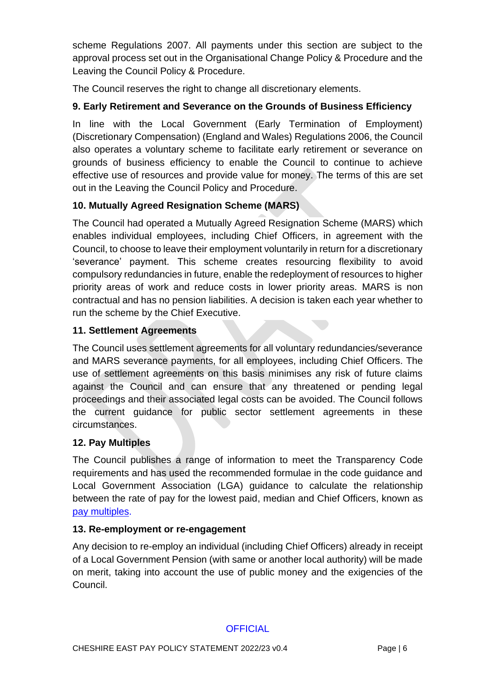scheme Regulations 2007. All payments under this section are subject to the approval process set out in the Organisational Change Policy & Procedure and the Leaving the Council Policy & Procedure.

The Council reserves the right to change all discretionary elements.

# **9. Early Retirement and Severance on the Grounds of Business Efficiency**

In line with the Local Government (Early Termination of Employment) (Discretionary Compensation) (England and Wales) Regulations 2006, the Council also operates a voluntary scheme to facilitate early retirement or severance on grounds of business efficiency to enable the Council to continue to achieve effective use of resources and provide value for money. The terms of this are set out in the Leaving the Council Policy and Procedure.

# **10. Mutually Agreed Resignation Scheme (MARS)**

The Council had operated a Mutually Agreed Resignation Scheme (MARS) which enables individual employees, including Chief Officers, in agreement with the Council, to choose to leave their employment voluntarily in return for a discretionary 'severance' payment. This scheme creates resourcing flexibility to avoid compulsory redundancies in future, enable the redeployment of resources to higher priority areas of work and reduce costs in lower priority areas. MARS is non contractual and has no pension liabilities. A decision is taken each year whether to run the scheme by the Chief Executive.

## **11. Settlement Agreements**

The Council uses settlement agreements for all voluntary redundancies/severance and MARS severance payments, for all employees, including Chief Officers. The use of settlement agreements on this basis minimises any risk of future claims against the Council and can ensure that any threatened or pending legal proceedings and their associated legal costs can be avoided. The Council follows the current guidance for public sector settlement agreements in these circumstances.

## **12. Pay Multiples**

The Council publishes a range of information to meet the Transparency Code requirements and has used the recommended formulae in the code guidance and Local Government Association (LGA) guidance to calculate the relationship between the rate of pay for the lowest paid, median and Chief Officers, known as [pay multiples.](https://www.cheshireeast.gov.uk/pdf/Council/pay-grading-structure/Link-4-Pay-Multiples-2022-23.pdf)

#### **13. Re-employment or re-engagement**

Any decision to re-employ an individual (including Chief Officers) already in receipt of a Local Government Pension (with same or another local authority) will be made on merit, taking into account the use of public money and the exigencies of the Council.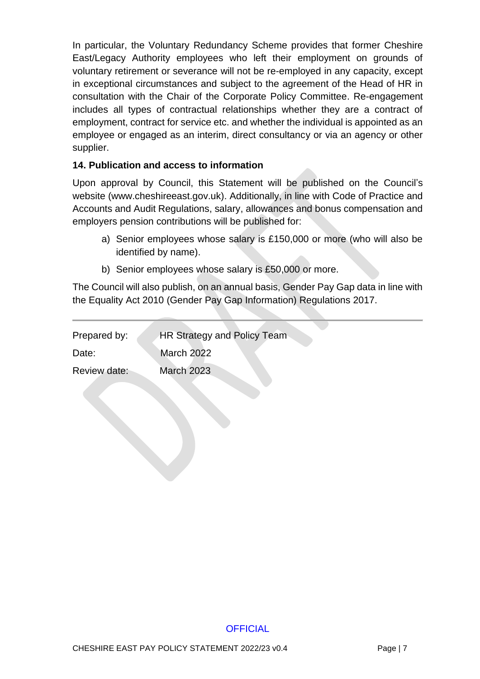In particular, the Voluntary Redundancy Scheme provides that former Cheshire East/Legacy Authority employees who left their employment on grounds of voluntary retirement or severance will not be re-employed in any capacity, except in exceptional circumstances and subject to the agreement of the Head of HR in consultation with the Chair of the Corporate Policy Committee. Re-engagement includes all types of contractual relationships whether they are a contract of employment, contract for service etc. and whether the individual is appointed as an employee or engaged as an interim, direct consultancy or via an agency or other supplier.

#### **14. Publication and access to information**

Upon approval by Council, this Statement will be published on the Council's website (www.cheshireeast.gov.uk). Additionally, in line with Code of Practice and Accounts and Audit Regulations, salary, allowances and bonus compensation and employers pension contributions will be published for:

- a) Senior employees whose salary is £150,000 or more (who will also be identified by name).
- b) Senior employees whose salary is £50,000 or more.

The Council will also publish, on an annual basis, Gender Pay Gap data in line with the Equality Act 2010 (Gender Pay Gap Information) Regulations 2017.

| Prepared by: | <b>HR Strategy and Policy Team</b> |
|--------------|------------------------------------|
| Date:        | <b>March 2022</b>                  |
| Review date: | <b>March 2023</b>                  |